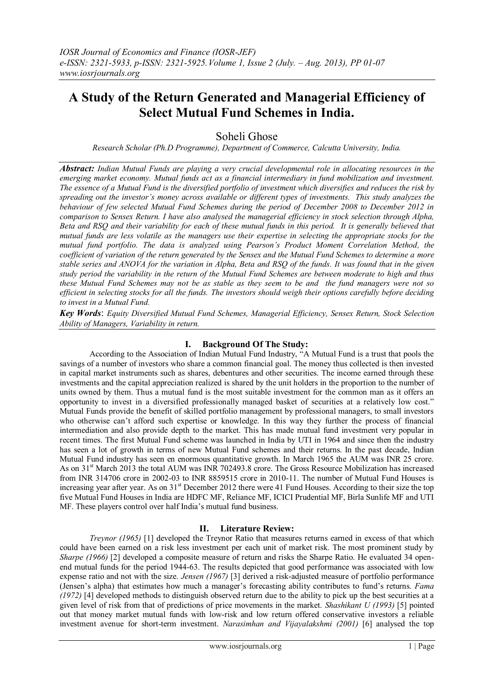# **A Study of the Return Generated and Managerial Efficiency of Select Mutual Fund Schemes in India.**

# Soheli Ghose

*Research Scholar (Ph.D Programme), Department of Commerce, Calcutta University, India.*

*Abstract: Indian Mutual Funds are playing a very crucial developmental role in allocating resources in the emerging market economy. Mutual funds act as a financial intermediary in fund mobilization and investment. The essence of a Mutual Fund is the diversified portfolio of investment which diversifies and reduces the risk by spreading out the investor's money across available or different types of investments. This study analyzes the behaviour of few selected Mutual Fund Schemes during the period of December 2008 to December 2012 in comparison to Sensex Return. I have also analysed the managerial efficiency in stock selection through Alpha, Beta and RSQ and their variability for each of these mutual funds in this period. It is generally believed that mutual funds are less volatile as the managers use their expertise in selecting the appropriate stocks for the mutual fund portfolio. The data is analyzed using Pearson's Product Moment Correlation Method, the coefficient of variation of the return generated by the Sensex and the Mutual Fund Schemes to determine a more stable series and ANOVA for the variation in Alpha, Beta and RSQ of the funds. It was found that in the given study period the variability in the return of the Mutual Fund Schemes are between moderate to high and thus these Mutual Fund Schemes may not be as stable as they seem to be and the fund managers were not so efficient in selecting stocks for all the funds. The investors should weigh their options carefully before deciding to invest in a Mutual Fund.* 

*Key Words*: *Equity Diversified Mutual Fund Schemes, Managerial Efficiency, Sensex Return, Stock Selection Ability of Managers, Variability in return.*

# **I. Background Of The Study:**

According to the Association of Indian Mutual Fund Industry, "A Mutual Fund is a trust that pools the savings of a number of investors who share a common financial goal. The money thus collected is then invested in capital market instruments such as shares, debentures and other securities. The income earned through these investments and the capital appreciation realized is shared by the unit holders in the proportion to the number of units owned by them. Thus a mutual fund is the most suitable investment for the common man as it offers an opportunity to invest in a diversified professionally managed basket of securities at a relatively low cost." Mutual Funds provide the benefit of skilled portfolio management by professional managers, to small investors who otherwise can't afford such expertise or knowledge. In this way they further the process of financial intermediation and also provide depth to the market. This has made mutual fund investment very popular in recent times. The first Mutual Fund scheme was launched in India by UTI in 1964 and since then the industry has seen a lot of growth in terms of new Mutual Fund schemes and their returns. In the past decade, Indian Mutual Fund industry has seen en enormous quantitative growth. In March 1965 the AUM was INR 25 crore. As on 31st March 2013 the total AUM was INR 702493.8 crore. The Gross Resource Mobilization has increased from INR 314706 crore in 2002-03 to INR 8859515 crore in 2010-11. The number of Mutual Fund Houses is increasing year after year. As on 31<sup>st</sup> December 2012 there were 41 Fund Houses. According to their size the top five Mutual Fund Houses in India are HDFC MF, Reliance MF, ICICI Prudential MF, Birla Sunlife MF and UTI MF. These players control over half India"s mutual fund business.

## **II. Literature Review:**

*Treynor (1965)* [1] developed the Treynor Ratio that measures returns earned in excess of that which could have been earned on a risk less investment per each unit of market risk. The most prominent study by *Sharpe (1966)* [2] developed a composite measure of return and risks the Sharpe Ratio. He evaluated 34 openend mutual funds for the period 1944-63. The results depicted that good performance was associated with low expense ratio and not with the size. *Jensen (1967)* [3] derived a risk-adjusted measure of portfolio performance (Jensen"s alpha) that estimates how much a manager"s forecasting ability contributes to fund"s returns. *Fama (1972)* [4] developed methods to distinguish observed return due to the ability to pick up the best securities at a given level of risk from that of predictions of price movements in the market. *Shashikant U (1993)* [5] pointed out that money market mutual funds with low-risk and low return offered conservative investors a reliable investment avenue for short-term investment. *Narasimhan and Vijayalakshmi (2001)* [6] analysed the top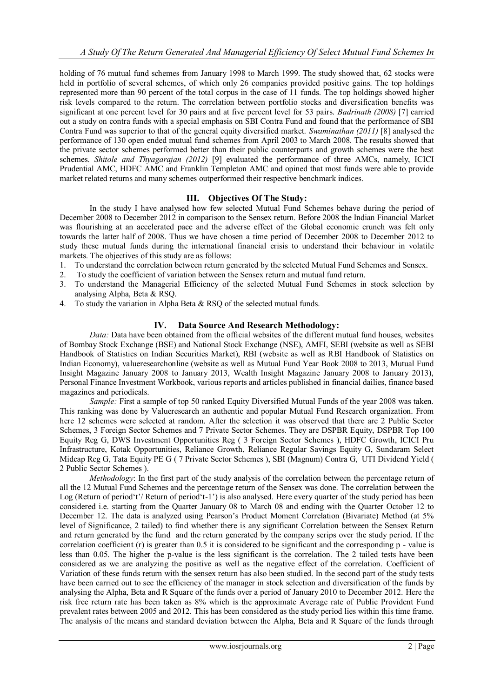holding of 76 mutual fund schemes from January 1998 to March 1999. The study showed that, 62 stocks were held in portfolio of several schemes, of which only 26 companies provided positive gains. The top holdings represented more than 90 percent of the total corpus in the case of 11 funds. The top holdings showed higher risk levels compared to the return. The correlation between portfolio stocks and diversification benefits was significant at one percent level for 30 pairs and at five percent level for 53 pairs. *Badrinath (2008)* [7] carried out a study on contra funds with a special emphasis on SBI Contra Fund and found that the performance of SBI Contra Fund was superior to that of the general equity diversified market. *Swaminathan (2011)* [8] analysed the performance of 130 open ended mutual fund schemes from April 2003 to March 2008. The results showed that the private sector schemes performed better than their public counterparts and growth schemes were the best schemes. *Shitole and Thyagarajan (2012)* [9] evaluated the performance of three AMCs, namely, ICICI Prudential AMC, HDFC AMC and Franklin Templeton AMC and opined that most funds were able to provide market related returns and many schemes outperformed their respective benchmark indices.

# **III. Objectives Of The Study:**

In the study I have analysed how few selected Mutual Fund Schemes behave during the period of December 2008 to December 2012 in comparison to the Sensex return. Before 2008 the Indian Financial Market was flourishing at an accelerated pace and the adverse effect of the Global economic crunch was felt only towards the latter half of 2008. Thus we have chosen a time period of December 2008 to December 2012 to study these mutual funds during the international financial crisis to understand their behaviour in volatile markets. The objectives of this study are as follows:

- 1. To understand the correlation between return generated by the selected Mutual Fund Schemes and Sensex.
- 2. To study the coefficient of variation between the Sensex return and mutual fund return.
- 3. To understand the Managerial Efficiency of the selected Mutual Fund Schemes in stock selection by analysing Alpha, Beta & RSQ.
- 4. To study the variation in Alpha Beta & RSQ of the selected mutual funds.

# **IV. Data Source And Research Methodology:**

*Data:* Data have been obtained from the official websites of the different mutual fund houses, websites of Bombay Stock Exchange (BSE) and National Stock Exchange (NSE), AMFI, SEBI (website as well as SEBI Handbook of Statistics on Indian Securities Market), RBI (website as well as RBI Handbook of Statistics on Indian Economy), valueresearchonline (website as well as Mutual Fund Year Book 2008 to 2013, Mutual Fund Insight Magazine January 2008 to January 2013, Wealth Insight Magazine January 2008 to January 2013), Personal Finance Investment Workbook, various reports and articles published in financial dailies, finance based magazines and periodicals.

*Sample:* First a sample of top 50 ranked Equity Diversified Mutual Funds of the year 2008 was taken. This ranking was done by Valueresearch an authentic and popular Mutual Fund Research organization. From here 12 schemes were selected at random. After the selection it was observed that there are 2 Public Sector Schemes, 3 Foreign Sector Schemes and 7 Private Sector Schemes. They are DSPBR Equity, DSPBR Top 100 Equity Reg G, DWS Investment Opportunities Reg ( 3 Foreign Sector Schemes ), HDFC Growth, ICICI Pru Infrastructure, Kotak Opportunities, Reliance Growth, Reliance Regular Savings Equity G, Sundaram Select Midcap Reg G, Tata Equity PE G ( 7 Private Sector Schemes ), SBI (Magnum) Contra G, UTI Dividend Yield ( 2 Public Sector Schemes ).

*Methodology*: In the first part of the study analysis of the correlation between the percentage return of all the 12 Mutual Fund Schemes and the percentage return of the Sensex was done. The correlation between the Log (Return of period't'/ Return of period't-1') is also analysed. Here every quarter of the study period has been considered i.e. starting from the Quarter January 08 to March 08 and ending with the Quarter October 12 to December 12. The data is analyzed using Pearson's Product Moment Correlation (Bivariate) Method (at 5% level of Significance, 2 tailed) to find whether there is any significant Correlation between the Sensex Return and return generated by the fund and the return generated by the company scrips over the study period. If the correlation coefficient  $(r)$  is greater than 0.5 it is considered to be significant and the corresponding  $p - value$  is less than 0.05. The higher the p-value is the less significant is the correlation. The 2 tailed tests have been considered as we are analyzing the positive as well as the negative effect of the correlation. Coefficient of Variation of these funds return with the sensex return has also been studied. In the second part of the study tests have been carried out to see the efficiency of the manager in stock selection and diversification of the funds by analysing the Alpha, Beta and R Square of the funds over a period of January 2010 to December 2012. Here the risk free return rate has been taken as 8% which is the approximate Average rate of Public Provident Fund prevalent rates between 2005 and 2012. This has been considered as the study period lies within this time frame. The analysis of the means and standard deviation between the Alpha, Beta and R Square of the funds through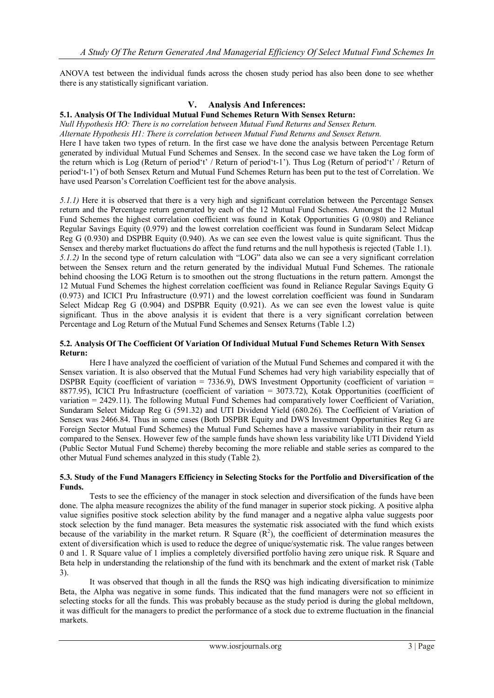ANOVA test between the individual funds across the chosen study period has also been done to see whether there is any statistically significant variation.

## **V. Analysis And Inferences:**

#### **5.1. Analysis Of The Individual Mutual Fund Schemes Return With Sensex Return:**

*Null Hypothesis HO: There is no correlation between Mutual Fund Returns and Sensex Return.*

*Alternate Hypothesis H1: There is correlation between Mutual Fund Returns and Sensex Return.*

Here I have taken two types of return. In the first case we have done the analysis between Percentage Return generated by individual Mutual Fund Schemes and Sensex. In the second case we have taken the Log form of the return which is Log (Return of period"t" / Return of period"t-1"). Thus Log (Return of period"t" / Return of period"t-1") of both Sensex Return and Mutual Fund Schemes Return has been put to the test of Correlation. We have used Pearson"s Correlation Coefficient test for the above analysis.

*5.1.1)* Here it is observed that there is a very high and significant correlation between the Percentage Sensex return and the Percentage return generated by each of the 12 Mutual Fund Schemes. Amongst the 12 Mutual Fund Schemes the highest correlation coefficient was found in Kotak Opportunities G (0.980) and Reliance Regular Savings Equity (0.979) and the lowest correlation coefficient was found in Sundaram Select Midcap Reg G (0.930) and DSPBR Equity (0.940). As we can see even the lowest value is quite significant. Thus the Sensex and thereby market fluctuations do affect the fund returns and the null hypothesis is rejected (Table 1.1). *5.1.2)* In the second type of return calculation with "LOG" data also we can see a very significant correlation between the Sensex return and the return generated by the individual Mutual Fund Schemes. The rationale behind choosing the LOG Return is to smoothen out the strong fluctuations in the return pattern. Amongst the 12 Mutual Fund Schemes the highest correlation coefficient was found in Reliance Regular Savings Equity G (0.973) and ICICI Pru Infrastructure (0.971) and the lowest correlation coefficient was found in Sundaram Select Midcap Reg G (0.904) and DSPBR Equity (0.921). As we can see even the lowest value is quite significant. Thus in the above analysis it is evident that there is a very significant correlation between Percentage and Log Return of the Mutual Fund Schemes and Sensex Returns (Table 1.2)

#### **5.2. Analysis Of The Coefficient Of Variation Of Individual Mutual Fund Schemes Return With Sensex Return:**

Here I have analyzed the coefficient of variation of the Mutual Fund Schemes and compared it with the Sensex variation. It is also observed that the Mutual Fund Schemes had very high variability especially that of DSPBR Equity (coefficient of variation  $= 7336.9$ ), DWS Investment Opportunity (coefficient of variation  $=$ 8877.95), ICICI Pru Infrastructure (coefficient of variation = 3073.72), Kotak Opportunities (coefficient of variation = 2429.11). The following Mutual Fund Schemes had comparatively lower Coefficient of Variation, Sundaram Select Midcap Reg G (591.32) and UTI Dividend Yield (680.26). The Coefficient of Variation of Sensex was 2466.84. Thus in some cases (Both DSPBR Equity and DWS Investment Opportunities Reg G are Foreign Sector Mutual Fund Schemes) the Mutual Fund Schemes have a massive variability in their return as compared to the Sensex. However few of the sample funds have shown less variability like UTI Dividend Yield (Public Sector Mutual Fund Scheme) thereby becoming the more reliable and stable series as compared to the other Mutual Fund schemes analyzed in this study (Table 2).

#### **5.3. Study of the Fund Managers Efficiency in Selecting Stocks for the Portfolio and Diversification of the Funds.**

Tests to see the efficiency of the manager in stock selection and diversification of the funds have been done. The alpha measure recognizes the ability of the fund manager in superior stock picking. A positive alpha value signifies positive stock selection ability by the fund manager and a negative alpha value suggests poor stock selection by the fund manager. Beta measures the systematic risk associated with the fund which exists because of the variability in the market return. R Square  $(R^2)$ , the coefficient of determination measures the extent of diversification which is used to reduce the degree of unique/systematic risk. The value ranges between 0 and 1. R Square value of 1 implies a completely diversified portfolio having zero unique risk. R Square and Beta help in understanding the relationship of the fund with its benchmark and the extent of market risk (Table 3).

It was observed that though in all the funds the RSQ was high indicating diversification to minimize Beta, the Alpha was negative in some funds. This indicated that the fund managers were not so efficient in selecting stocks for all the funds. This was probably because as the study period is during the global meltdown, it was difficult for the managers to predict the performance of a stock due to extreme fluctuation in the financial markets.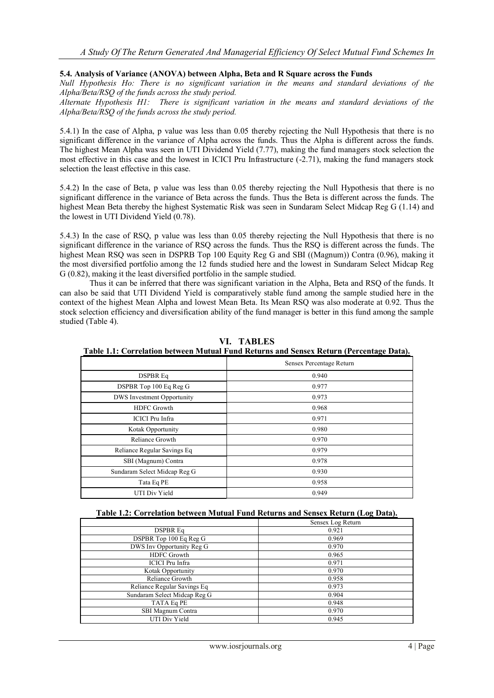#### **5.4. Analysis of Variance (ANOVA) between Alpha, Beta and R Square across the Funds**

*Null Hypothesis Ho: There is no significant variation in the means and standard deviations of the Alpha/Beta/RSQ of the funds across the study period.*

*Alternate Hypothesis H1: There is significant variation in the means and standard deviations of the Alpha/Beta/RSQ of the funds across the study period.*

5.4.1) In the case of Alpha, p value was less than 0.05 thereby rejecting the Null Hypothesis that there is no significant difference in the variance of Alpha across the funds. Thus the Alpha is different across the funds. The highest Mean Alpha was seen in UTI Dividend Yield (7.77), making the fund managers stock selection the most effective in this case and the lowest in ICICI Pru Infrastructure (-2.71), making the fund managers stock selection the least effective in this case.

5.4.2) In the case of Beta, p value was less than 0.05 thereby rejecting the Null Hypothesis that there is no significant difference in the variance of Beta across the funds. Thus the Beta is different across the funds. The highest Mean Beta thereby the highest Systematic Risk was seen in Sundaram Select Midcap Reg G (1.14) and the lowest in UTI Dividend Yield (0.78).

5.4.3) In the case of RSQ, p value was less than 0.05 thereby rejecting the Null Hypothesis that there is no significant difference in the variance of RSQ across the funds. Thus the RSQ is different across the funds. The highest Mean RSQ was seen in DSPRB Top 100 Equity Reg G and SBI ((Magnum)) Contra (0.96), making it the most diversified portfolio among the 12 funds studied here and the lowest in Sundaram Select Midcap Reg G (0.82), making it the least diversified portfolio in the sample studied.

Thus it can be inferred that there was significant variation in the Alpha, Beta and RSQ of the funds. It can also be said that UTI Dividend Yield is comparatively stable fund among the sample studied here in the context of the highest Mean Alpha and lowest Mean Beta. Its Mean RSQ was also moderate at 0.92. Thus the stock selection efficiency and diversification ability of the fund manager is better in this fund among the sample studied (Table 4).

|                                   | Sensex Percentage Return |  |  |  |  |  |
|-----------------------------------|--------------------------|--|--|--|--|--|
| <b>DSPBR Eq</b>                   | 0.940                    |  |  |  |  |  |
| DSPBR Top 100 Eq Reg G            | 0.977                    |  |  |  |  |  |
| <b>DWS</b> Investment Opportunity | 0.973                    |  |  |  |  |  |
| <b>HDFC</b> Growth                | 0.968                    |  |  |  |  |  |
| <b>ICICI</b> Pru Infra            | 0.971                    |  |  |  |  |  |
| Kotak Opportunity                 | 0.980                    |  |  |  |  |  |
| Reliance Growth                   | 0.970                    |  |  |  |  |  |
| Reliance Regular Savings Eq       | 0.979                    |  |  |  |  |  |
| SBI (Magnum) Contra               | 0.978                    |  |  |  |  |  |
| Sundaram Select Midcap Reg G      | 0.930                    |  |  |  |  |  |
| Tata Eq PE                        | 0.958                    |  |  |  |  |  |
| UTI Div Yield                     | 0.949                    |  |  |  |  |  |

**VI. TABLES**

**Table 1.1: Correlation between Mutual Fund Returns and Sensex Return (Percentage Data).**

|                                               | Sensex Log Return |
|-----------------------------------------------|-------------------|
| <b>DSPBR Eq</b>                               | 0.921             |
| DSPBR Top 100 Eq Reg G                        | 0.969             |
| DWS Inv Opportunity $\overline{\text{Reg G}}$ | 0.970             |
| <b>HDFC</b> Growth                            | 0.965             |
| ICICI Pru Infra                               | 0.971             |
| Kotak Opportunity                             | 0.970             |
| Reliance Growth                               | 0.958             |
| Reliance Regular Savings Eq                   | 0.973             |
| Sundaram Select Midcap Reg G                  | 0.904             |
| TATA Eq PE                                    | 0.948             |
| SBI Magnum Contra                             | 0.970             |
| UTI Div Yield                                 | 0.945             |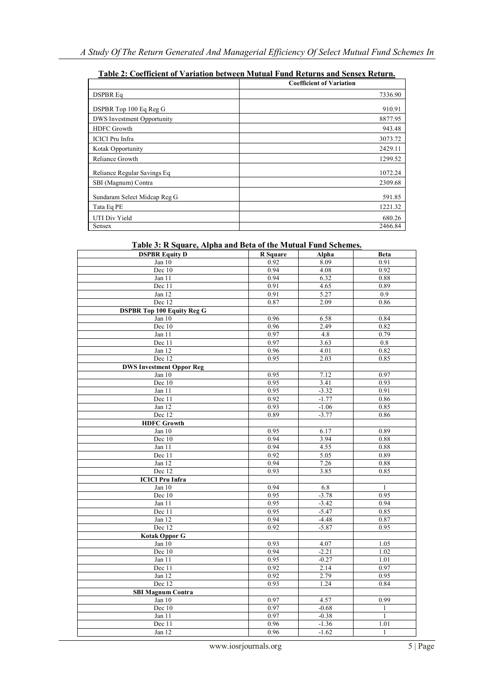|                                   | 1 apre 21 Cocmetent of Tamacon between matatan 1 and returns and school returns |
|-----------------------------------|---------------------------------------------------------------------------------|
|                                   | <b>Coefficient of Variation</b>                                                 |
| <b>DSPBR Eq</b>                   | 7336.90                                                                         |
| DSPBR Top 100 Eq Reg G            | 910.91                                                                          |
| <b>DWS</b> Investment Opportunity | 8877.95                                                                         |
| <b>HDFC</b> Growth                | 943.48                                                                          |
| <b>ICICI</b> Pru Infra            | 3073.72                                                                         |
| Kotak Opportunity                 | 2429.11                                                                         |
| Reliance Growth                   | 1299.52                                                                         |
| Reliance Regular Savings Eq       | 1072.24                                                                         |
| SBI (Magnum) Contra               | 2309.68                                                                         |
| Sundaram Select Midcap Reg G      | 591.85                                                                          |
| Tata Eq PE                        | 1221.32                                                                         |
| UTI Div Yield                     | 680.26                                                                          |
| Sensex                            | 2466.84                                                                         |

# **Table 2: Coefficient of Variation between Mutual Fund Returns and Sensex Return.**

# **Table 3: R Square, Alpha and Beta of the Mutual Fund Schemes.**

| <b>DSPBR Equity D</b>             | R Square | Alpha        | <b>Beta</b>  |  |  |
|-----------------------------------|----------|--------------|--------------|--|--|
| Jan $10$                          | 0.92     | 8.09         | 0.91         |  |  |
| Dec 10                            | 0.94     | 4.08         | 0.92         |  |  |
| Jan $11$                          | 0.94     | 6.32         | 0.88         |  |  |
| Dec 11                            | 0.91     | 4.65         | 0.89         |  |  |
| Jan 12                            | 0.91     | 5.27         | 0.9          |  |  |
| Dec 12                            | 0.87     | 2.09         | 0.86         |  |  |
| <b>DSPBR Top 100 Equity Reg G</b> |          |              |              |  |  |
| Jan 10                            | 0.96     | 6.58         | 0.84<br>0.82 |  |  |
| Dec 10                            |          | 0.96<br>2.49 |              |  |  |
| Jan 11                            | 0.97     | 4.8          | 0.79         |  |  |
| Dec 11                            | 0.97     | 3.63         |              |  |  |
| Jan 12                            | 0.96     | 0.82         |              |  |  |
| Dec 12                            | 0.95     | 2.03         | 0.85         |  |  |
| <b>DWS Investment Oppor Reg</b>   |          |              |              |  |  |
| Jan $10$                          | 0.95     | 7.12         | 0.97         |  |  |
| Dec 10                            | 0.95     | 3.41         | 0.93         |  |  |
| Jan 11                            | 0.95     | $-3.32$      | 0.91         |  |  |
| Dec 11                            | 0.92     | $-1.77$      | 0.86         |  |  |
| Jan 12                            | 0.93     | $-1.06$      | 0.85         |  |  |
| Dec 12                            | 0.89     | $-3.77$      | 0.86         |  |  |
| <b>HDFC</b> Growth                |          |              |              |  |  |
| Jan 10                            | 0.95     | 6.17         | 0.89         |  |  |
| Dec 10                            | 0.94     | 3.94         | 0.88         |  |  |
| Jan 11                            | 0.94     | 4.55         | 0.88         |  |  |
| Dec 11                            | 0.92     | 5.05         | 0.89         |  |  |
| Jan $12$                          | 0.94     | 7.26         | 0.88         |  |  |
| Dec 12                            | 0.93     | 3.85         | 0.85         |  |  |
| <b>ICICI Pru Infra</b>            |          |              |              |  |  |
| Jan 10                            | 0.94     | 6.8          | $\mathbf{1}$ |  |  |
| Dec 10                            | 0.95     | $-3.78$      | 0.95         |  |  |
| Jan 11                            | 0.95     | $-3.42$      | 0.94         |  |  |
| Dec 11                            | 0.95     | $-5.47$      | 0.85         |  |  |
| Jan 12                            | 0.94     | $-4.48$      | 0.87         |  |  |
| Dec 12                            | 0.92     | $-5.87$      | 0.95         |  |  |
| <b>Kotak Oppor G</b>              |          |              |              |  |  |
| Jan 10                            | 0.93     | 4.07         | 1.05         |  |  |
| Dec 10                            | 0.94     | $-2.21$      | 1.02         |  |  |
| Jan 11                            | 0.95     | $-0.27$      | 1.01         |  |  |
| Dec 11                            | 0.92     | 2.14         | 0.97         |  |  |
| Jan 12                            | 0.92     | 2.79         | 0.95         |  |  |
| Dec 12                            | 0.93     | 1.24         | 0.84         |  |  |
| <b>SBI Magnum Contra</b>          |          |              |              |  |  |
| Jan 10                            | 0.97     | 4.57         | 0.99         |  |  |
| Dec 10                            | 0.97     | $-0.68$      | $\mathbf{1}$ |  |  |
| Jan 11                            | 0.97     | $-0.38$      | $\mathbf{1}$ |  |  |
| Dec 11                            | 0.96     | $-1.36$      | 1.01         |  |  |
| Jan 12                            | 0.96     | $-1.62$      | $\mathbf{1}$ |  |  |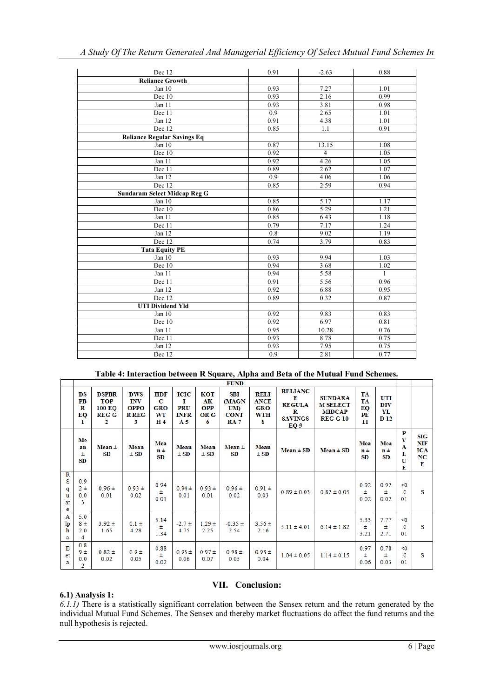| Dec 12                             | 0.91 | $-2.63$        | 0.88         |
|------------------------------------|------|----------------|--------------|
| <b>Reliance Growth</b>             |      |                |              |
| Jan 10                             | 0.93 | 7.27           | 1.01         |
| Dec 10                             | 0.93 | 2.16           | 0.99         |
| Jan 11                             | 0.93 | 3.81           | 0.98         |
| Dec 11                             | 0.9  | 2.65           | 1.01         |
| Jan 12                             | 0.91 | 4.38           | 1.01         |
| Dec 12                             | 0.85 | 1.1            | 0.91         |
| <b>Reliance Regular Savings Eq</b> |      |                |              |
| Jan 10                             | 0.87 | 13.15          | 1.08         |
| Dec 10                             | 0.92 | $\overline{4}$ | 1.05         |
| Jan 11                             | 0.92 | 4.26           | 1.05         |
| Dec 11                             | 0.89 | 2.62           | 1.07         |
| Jan 12                             | 0.9  | 4.06           | 1.06         |
| Dec 12                             | 0.85 | 2.59           | 0.94         |
| Sundaram Select Midcap Reg G       |      |                |              |
| Jan 10                             | 0.85 | 5.17           | 1.17         |
| Dec 10                             | 0.86 | 5.29           | 1.21         |
| Jan 11                             | 0.85 | 6.43           | 1.18         |
| Dec 11                             | 0.79 | 7.17           | 1.24         |
| Jan $12$                           | 0.8  | 9.02           | 1.19         |
| Dec $12$                           | 0.74 | 3.79           | 0.83         |
| <b>Tata Equity PE</b>              |      |                |              |
| Jan 10                             | 0.93 | 9.94           | 1.03         |
| Dec 10                             | 0.94 | 3.68           | 1.02         |
| Jan 11                             | 0.94 | 5.58           | $\mathbf{1}$ |
| Dec 11                             | 0.91 | 5.56           | 0.96         |
| Jan 12                             | 0.92 | 6.88           | 0.95         |
| Dec 12                             | 0.89 | 0.32           | 0.87         |
| <b>UTI Dividend Yld</b>            |      |                |              |
| Jan 10                             | 0.92 | 9.83           | 0.83         |
| Dec 10                             | 0.92 | 6.97           | 0.81         |
| Jan 11                             | 0.95 | 10.28          | 0.76         |
| Dec 11                             | 0.93 | 8.78           | 0.75         |
| Jan 12                             | 0.93 | 7.95           | 0.75         |
| Dec 12                             | 0.9  | 2.81           | 0.77         |

*A Study Of The Return Generated And Managerial Efficiency Of Select Mutual Fund Schemes In*

# **Table 4: Interaction between R Square, Alpha and Beta of the Mutual Fund Schemes.**

|                                        | <b>FUND</b>                                |                                                                      |                                                              |                                                       |                                                          |                                      |                                                         |                                                      |                                                                               |                                                                       |                                          |                                 |                                                  |                                                             |
|----------------------------------------|--------------------------------------------|----------------------------------------------------------------------|--------------------------------------------------------------|-------------------------------------------------------|----------------------------------------------------------|--------------------------------------|---------------------------------------------------------|------------------------------------------------------|-------------------------------------------------------------------------------|-----------------------------------------------------------------------|------------------------------------------|---------------------------------|--------------------------------------------------|-------------------------------------------------------------|
|                                        | $_{DS}$<br>P <sub>B</sub><br>R<br>EQ<br>л. | <b>DSPBR</b><br><b>TOP</b><br>100 EQ<br><b>REG G</b><br>$\mathbf{2}$ | <b>DWS</b><br><b>INV</b><br><b>OPPO</b><br><b>R REG</b><br>3 | <b>HDF</b><br>C<br><b>GRO</b><br>WT<br>H <sub>4</sub> | <b>ICIC</b><br>п<br>PRU<br><b>INFR</b><br>A <sub>5</sub> | KOT<br>AК<br><b>OPP</b><br>OR G<br>6 | <b>SBI</b><br>(MAGN<br>UM)<br><b>CONT</b><br><b>RA7</b> | <b>RELI</b><br><b>ANCE</b><br><b>GRO</b><br>WTH<br>8 | <b>RELIANC</b><br>Е<br><b>REGULA</b><br>$\mathbf R$<br><b>SAVINGS</b><br>EQ 9 | <b>SUNDARA</b><br><b>M SELECT</b><br><b>MIDCAP</b><br><b>REG G 10</b> | <b>TA</b><br><b>TA</b><br>EQ<br>PE<br>11 | UTI<br><b>DIV</b><br>YL<br>D 12 |                                                  |                                                             |
|                                        | Me<br>an<br>Ŧ<br><b>SD</b>                 | $Mean \pm$<br><b>SD</b>                                              | <b>Mean</b><br>$\pm$ SD                                      | Mea<br>$n \pm$<br>SD                                  | <b>Mean</b><br>$\pm$ SD                                  | Mean<br>$\pm$ SD                     | $Mean \pm$<br><b>SD</b>                                 | Mean<br>$\pm$ SD                                     | $Mean \pm SD$                                                                 | $Mean \pm SD$                                                         | Mea<br>$n \pm$<br><b>SD</b>              | Mea<br>$n \pm$<br>SD            | P<br>$\overline{\mathbf{v}}$<br>A<br>L<br>U<br>E | <b>SIG</b><br><b>NIF</b><br><b>ICA</b><br>NC<br>$\mathbf E$ |
| $\mathbb{R}$<br>S<br>q<br>u<br>ar<br>е | 0.9<br>2±<br>0.0<br>3                      | $0.96 \pm$<br>0.01                                                   | $0.93 \pm$<br>0.02                                           | 0.94<br>Ŧ<br>0.01                                     | $0.94 \pm$<br>0.01                                       | $0.93 \pm$<br>0.01                   | $0.96 \pm$<br>0.02                                      | $0.91 \pm$<br>0.03                                   | $0.89 \pm 0.03$                                                               | $0.82 \pm 0.05$                                                       | 0.92<br>Ŧ<br>0.02                        | 0.92<br>Ŧ<br>0.02               | $\leq 0$<br>$\overline{0}$<br>01                 | s                                                           |
| $\mathbf{A}$<br>lp<br>ħ<br>a           | 5.0<br>8 ±<br>2.0<br>4                     | $3.92 \pm$<br>1.65                                                   | $0.1 \pm$<br>4.28                                            | 5.14<br>Ŧ<br>1.34                                     | $-2.7 \pm$<br>4.75                                       | $1.29 \pm$<br>2.25                   | $-0.35 \pm$<br>2.54                                     | $3.56 \pm$<br>2.16                                   | $5.11 \pm 4.01$                                                               | $6.14 \pm 1.82$                                                       | 5.33<br>Ŧ<br>3.21                        | 7.77<br>Ŧ<br>2.71               | < 0<br>$\Omega$<br>01                            | s                                                           |
| B<br>et<br>a                           | 0.8<br>9±<br>0.0<br>$\overline{2}$         | $0.82 \pm$<br>0.02                                                   | $0.9 \pm$<br>0.05                                            | 0.88<br>Ŧ<br>0.02                                     | $0.93 \pm$<br>0.06                                       | $0.97 +$<br>0.07                     | $0.98 \pm$<br>0.05                                      | $0.98 \pm$<br>0.04                                   | $1.04 \pm 0.05$                                                               | $1.14 \pm 0.15$                                                       | 0.97<br>Ŧ<br>0.06                        | 0.78<br>Ŧ<br>0.03               | < 0<br>$\overline{0}$<br>01                      | s                                                           |

## **6.1) Analysis 1:**

# **VII. Conclusion:**

*6.1.1)* There is a statistically significant correlation between the Sensex return and the return generated by the individual Mutual Fund Schemes. The Sensex and thereby market fluctuations do affect the fund returns and the null hypothesis is rejected.